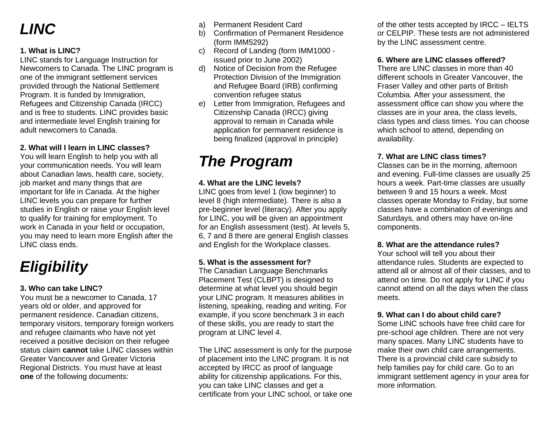# *LINC*

# **1. What is LINC?**

LINC stands for Language Instruction for Newcomers to Canada. The LINC program is one of the immigrant settlement services provided through the National Settlement Program. It is funded by Immigration, Refugees and Citizenship Canada (IRCC) and is free to students. LINC provides basic and intermediate level English training for adult newcomers to Canada.

# **2. What will I learn in LINC classes?**

You will learn English to help you with all your communication needs. You will learn about Canadian laws, health care, society, job market and many things that are important for life in Canada. At the higher LINC levels you can prepare for further studies in English or raise your English level to qualify for training for employment. To work in Canada in your field or occupation, you may need to learn more English after the LINC class ends.

# *Eligibility*

# **3. Who can take LINC?**

You must be a newcomer to Canada, 17 years old or older, and approved for permanent residence. Canadian citizens, temporary visitors, temporary foreign workers and refugee claimants who have not yet received a positive decision on their refugee status claim **cannot** take LINC classes within Greater Vancouver and Greater Victoria Regional Districts. You must have at least **one** of the following documents:

- a) Permanent Resident Card
- b) Confirmation of Permanent Residence (form IMM5292)
- c) Record of Landing (form IMM1000 issued prior to June 2002)
- d) Notice of Decision from the Refugee Protection Division of the Immigration and Refugee Board (IRB) confirming convention refugee status
- e) Letter from Immigration, Refugees and Citizenship Canada (IRCC) giving approval to remain in Canada while application for permanent residence is being finalized (approval in principle)

# *The Program*

## **4. What are the LINC levels?**

LINC goes from level 1 (low beginner) to level 8 (high intermediate). There is also a pre-beginner level (literacy). After you apply for LINC, you will be given an appointment for an English assessment (test). At levels 5, 6, 7 and 8 there are general English classes and English for the Workplace classes.

## **5. What is the assessment for?**

The Canadian Language Benchmarks Placement Test (CLBPT) is designed to determine at what level you should begin your LINC program. It measures abilities in listening, speaking, reading and writing. For example, if you score benchmark 3 in each of these skills, you are ready to start the program at LINC level 4.

The LINC assessment is only for the purpose of placement into the LINC program. It is not accepted by IRCC as proof of language ability for citizenship applications. For this, you can take LINC classes and get a certificate from your LINC school, or take one of the other tests accepted by IRCC – IELTS or CELPIP. These tests are not administered by the LINC assessment centre.

# **6. Where are LINC classes offered?**

There are LINC classes in more than 40 different schools in Greater Vancouver, the Fraser Valley and other parts of British Columbia. After your assessment, the assessment office can show you where the classes are in your area, the class levels, class types and class times. You can choose which school to attend, depending on availability.

## **7. What are LINC class times?**

Classes can be in the morning, afternoon and evening. Full-time classes are usually 25 hours a week. Part-time classes are usually between 9 and 15 hours a week. Most classes operate Monday to Friday, but some classes have a combination of evenings and Saturdays, and others may have on-line components.

#### **8. What are the attendance rules?**

Your school will tell you about their attendance rules. Students are expected to attend all or almost all of their classes, and to attend on time. Do not apply for LINC if you cannot attend on all the days when the class meets.

## **9. What can I do about child care?**

Some LINC schools have free child care for pre-school age children. There are not very many spaces. Many LINC students have to make their own child care arrangements. There is a provincial child care subsidy to help families pay for child care. Go to an immigrant settlement agency in your area for more information.